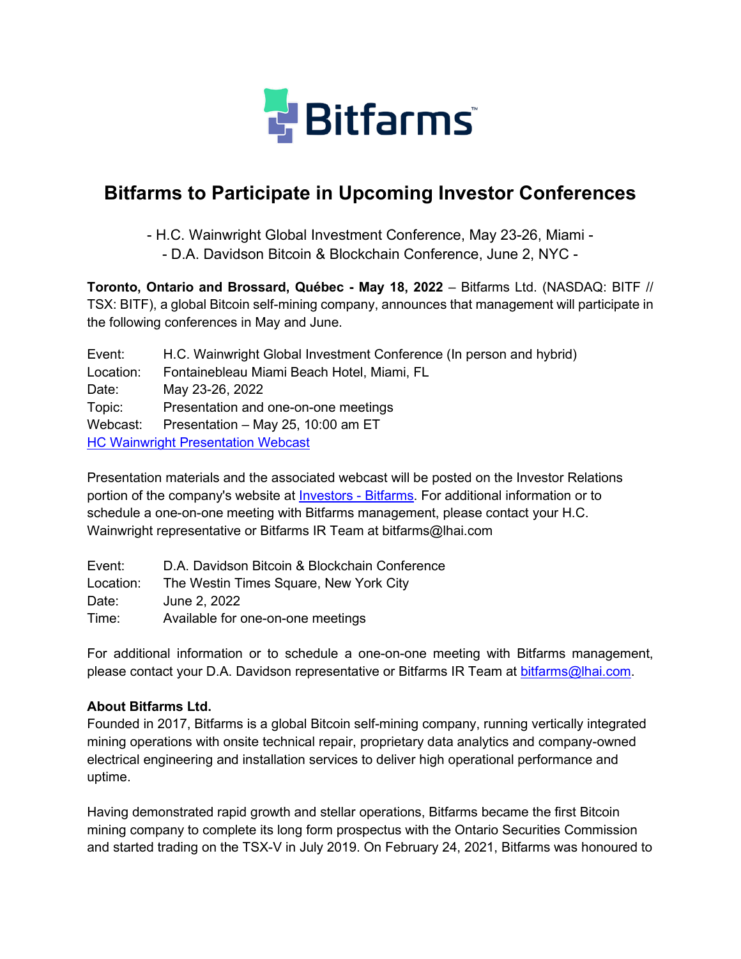

# **Bitfarms to Participate in Upcoming Investor Conferences**

- H.C. Wainwright Global Investment Conference, May 23-26, Miami -

- D.A. Davidson Bitcoin & Blockchain Conference, June 2, NYC -

**Toronto, Ontario and Brossard, Québec - May 18, 2022** – Bitfarms Ltd. (NASDAQ: BITF // TSX: BITF), a global Bitcoin self-mining company, announces that management will participate in the following conferences in May and June.

Event: H.C. Wainwright Global Investment Conference (In person and hybrid) Location: Fontainebleau Miami Beach Hotel, Miami, FL Date: May 23-26, 2022 Topic: Presentation and one-on-one meetings Webcast: Presentation – May 25, 10:00 am ET HC Wainwright Presentation Webcast

Presentation materials and the associated webcast will be posted on the Investor Relations portion of the company's website at Investors - Bitfarms. For additional information or to schedule a one-on-one meeting with Bitfarms management, please contact your H.C. Wainwright representative or Bitfarms IR Team at bitfarms@lhai.com

| Event:    | D.A. Davidson Bitcoin & Blockchain Conference |
|-----------|-----------------------------------------------|
| Location: | The Westin Times Square, New York City        |
| Date:     | June 2, 2022                                  |
| Time:     | Available for one-on-one meetings             |

For additional information or to schedule a one-on-one meeting with Bitfarms management, please contact your D.A. Davidson representative or Bitfarms IR Team at bitfarms@lhai.com.

## **About Bitfarms Ltd.**

Founded in 2017, Bitfarms is a global Bitcoin self-mining company, running vertically integrated mining operations with onsite technical repair, proprietary data analytics and company-owned electrical engineering and installation services to deliver high operational performance and uptime.

Having demonstrated rapid growth and stellar operations, Bitfarms became the first Bitcoin mining company to complete its long form prospectus with the Ontario Securities Commission and started trading on the TSX-V in July 2019. On February 24, 2021, Bitfarms was honoured to